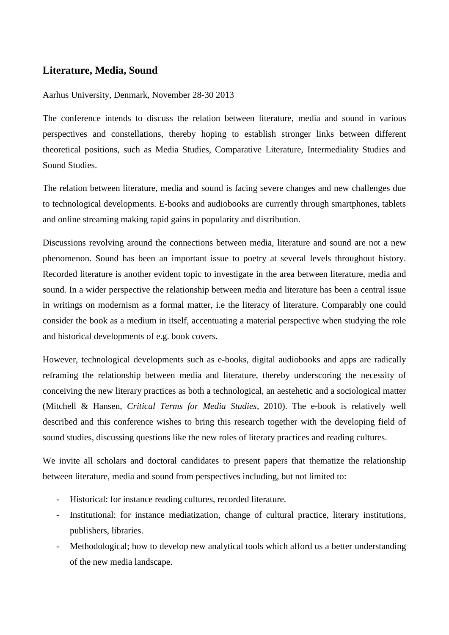## **Literature, Media, Sound**

## Aarhus University, Denmark, November 28-30 2013

The conference intends to discuss the relation between literature, media and sound in various perspectives and constellations, thereby hoping to establish stronger links between different theoretical positions, such as Media Studies, Comparative Literature, Intermediality Studies and Sound Studies.

The relation between literature, media and sound is facing severe changes and new challenges due to technological developments. E-books and audiobooks are currently through smartphones, tablets and online streaming making rapid gains in popularity and distribution.

Discussions revolving around the connections between media, literature and sound are not a new phenomenon. Sound has been an important issue to poetry at several levels throughout history. Recorded literature is another evident topic to investigate in the area between literature, media and sound. In a wider perspective the relationship between media and literature has been a central issue in writings on modernism as a formal matter, i.e the literacy of literature. Comparably one could consider the book as a medium in itself, accentuating a material perspective when studying the role and historical developments of e.g. book covers.

However, technological developments such as e-books, digital audiobooks and apps are radically reframing the relationship between media and literature, thereby underscoring the necessity of conceiving the new literary practices as both a technological, an aestehetic and a sociological matter (Mitchell & Hansen, *Critical Terms for Media Studies*, 2010). The e-book is relatively well described and this conference wishes to bring this research together with the developing field of sound studies, discussing questions like the new roles of literary practices and reading cultures.

We invite all scholars and doctoral candidates to present papers that thematize the relationship between literature, media and sound from perspectives including, but not limited to:

- Historical: for instance reading cultures, recorded literature.
- Institutional: for instance mediatization, change of cultural practice, literary institutions, publishers, libraries.
- Methodological; how to develop new analytical tools which afford us a better understanding of the new media landscape.